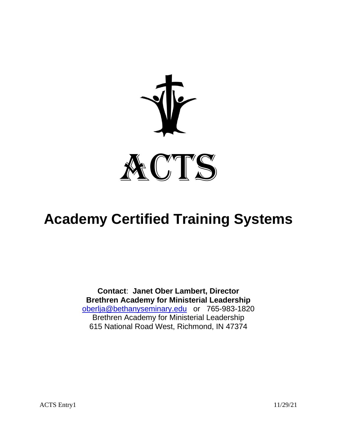

# **Academy Certified Training Systems**

**Contact**: **Janet Ober Lambert, Director Brethren Academy for Ministerial Leadership** [oberlja@bethanyseminary.edu](mailto:oberlja@bethanyseminary.edu) or 765-983-1820 Brethren Academy for Ministerial Leadership 615 National Road West, Richmond, IN 47374